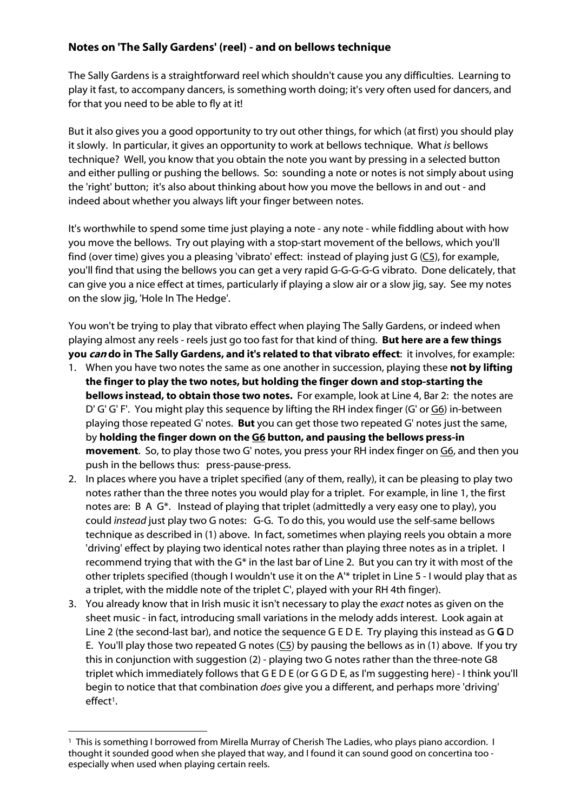## **Notes on 'The Sally Gardens' (reel) - and on bellows technique**

The Sally Gardens is a straightforward reel which shouldn't cause you any difficulties. Learning to play it fast, to accompany dancers, is something worth doing; it's very often used for dancers, and for that you need to be able to fly at it!

But it also gives you a good opportunity to try out other things, for which (at first) you should play it slowly. In particular, it gives an opportunity to work at bellows technique. What *is* bellows technique? Well, you know that you obtain the note you want by pressing in a selected button and either pulling or pushing the bellows. So: sounding a note or notes is not simply about using the 'right' button; it's also about thinking about how you move the bellows in and out - and indeed about whether you always lift your finger between notes.

It's worthwhile to spend some time just playing a note - any note - while fiddling about with how you move the bellows. Try out playing with a stop-start movement of the bellows, which you'll find (over time) gives you a pleasing 'vibrato' effect: instead of playing just G (C5), for example, you'll find that using the bellows you can get a very rapid G-G-G-G-G vibrato. Done delicately, that can give you a nice effect at times, particularly if playing a slow air or a slow jig, say. See my notes on the slow jig, 'Hole In The Hedge'.

You won't be trying to play that vibrato effect when playing The Sally Gardens, or indeed when playing almost any reels - reels just go too fast for that kind of thing. **But here are a few things you** *can* **do in The Sally Gardens, and it's related to that vibrato effect**: it involves, for example:

- 1. When you have two notes the same as one another in succession, playing these **not by lifting the finger to play the two notes, but holding the finger down and stop-starting the bellows instead, to obtain those two notes.** For example, look at Line 4, Bar 2: the notes are D' G' G' F'. You might play this sequence by lifting the RH index finger (G' or G6) in-between playing those repeated G' notes. **But** you can get those two repeated G' notes just the same, by **holding the finger down on the G6 button, and pausing the bellows press-in movement**. So, to play those two G' notes, you press your RH index finger on G6, and then you push in the bellows thus: press-pause-press.
- 2. In places where you have a triplet specified (any of them, really), it can be pleasing to play two notes rather than the three notes you would play for a triplet. For example, in line 1, the first notes are: B A G\*. Instead of playing that triplet (admittedly a very easy one to play), you could *instead* just play two G notes: G-G. To do this, you would use the self-same bellows technique as described in (1) above. In fact, sometimes when playing reels you obtain a more 'driving' effect by playing two identical notes rather than playing three notes as in a triplet. I recommend trying that with the G\* in the last bar of Line 2. But you can try it with most of the other triplets specified (though I wouldn't use it on the A'\* triplet in Line 5 - I would play that as a triplet, with the middle note of the triplet C', played with your RH 4th finger).
- 3. You already know that in Irish music it isn't necessary to play the *exact* notes as given on the sheet music - in fact, introducing small variations in the melody adds interest. Look again at Line 2 (the second-last bar), and notice the sequence G E D E. Try playing this instead as G **G** D E. You'll play those two repeated G notes  $(C_2)$  by pausing the bellows as in (1) above. If you try this in conjunction with suggestion (2) - playing two G notes rather than the three-note G8 triplet which immediately follows that G E D E (or G G D E, as I'm suggesting here) - I think you'll begin to notice that that combination *does* give you a different, and perhaps more 'driving' effect<sup>1</sup>.

<sup>&</sup>lt;sup>1</sup> This is something I borrowed from Mirella Murray of Cherish The Ladies, who plays piano accordion. I thought it sounded good when she played that way, and I found it can sound good on concertina too especially when used when playing certain reels.